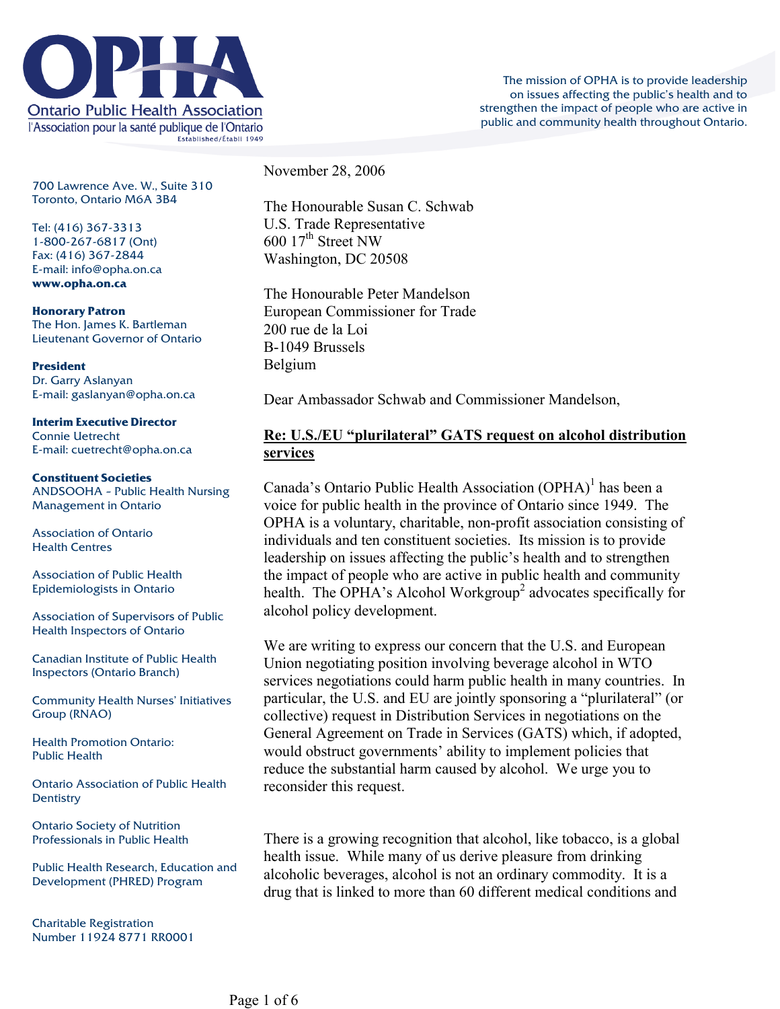

700 Lawrence Ave. W., Suite 310 Toronto, Ontario M6A 3B4

Tel: (416) 367-3313 1-800-267-6817 (Ont) Fax: (416) 367-2844 E-mail: info@opha.on.ca **www.opha.on.ca** 

**Honorary Patron**  The Hon. James K. Bartleman Lieutenant Governor of Ontario

**President**  Dr. Garry Aslanyan E-mail: gaslanyan@opha.on.ca

**Interim Executive Director**  Connie Uetrecht E-mail: cuetrecht@opha.on.ca

## **Constituent Societies**  ANDSOOHA – Public Health Nursing Management in Ontario

Association of Ontario Health Centres

Association of Public Health Epidemiologists in Ontario

Association of Supervisors of Public Health Inspectors of Ontario

Canadian Institute of Public Health Inspectors (Ontario Branch)

Community Health Nurses' Initiatives Group (RNAO)

Health Promotion Ontario: Public Health

Ontario Association of Public Health **Dentistry** 

Ontario Society of Nutrition Professionals in Public Health

Public Health Research, Education and Development (PHRED) Program

Charitable Registration Number 11924 8771 RR0001 November 28, 2006

The Honourable Susan C. Schwab U.S. Trade Representative  $600 \frac{17^{\text{th}}}{\text{Street NW}}$ Washington, DC 20508

The Honourable Peter Mandelson European Commissioner for Trade 200 rue de la Loi B-1049 Brussels Belgium

Dear Ambassador Schwab and Commissioner Mandelson,

## **Re: U.S./EU "plurilateral" GATS request on alcohol distribution services**

Canada's Ontario Public Health Association  $(OPHA)^1$  $(OPHA)^1$  has been a voice for public health in the province of Ontario since 1949. The OPHA is a voluntary, charitable, non-profit association consisting of individuals and ten constituent societies. Its mission is to provide leadership on issues affecting the public's health and to strengthen the impact of people who are active in public health and community health. The OPHA's Alcohol Workgroup<sup>[2](#page-5-0)</sup> advocates specifically for alcohol policy development.

We are writing to express our concern that the U.S. and European Union negotiating position involving beverage alcohol in WTO services negotiations could harm public health in many countries. In particular, the U.S. and EU are jointly sponsoring a "plurilateral" (or collective) request in Distribution Services in negotiations on the General Agreement on Trade in Services (GATS) which, if adopted, would obstruct governments' ability to implement policies that reduce the substantial harm caused by alcohol. We urge you to reconsider this request.

There is a growing recognition that alcohol, like tobacco, is a global health issue. While many of us derive pleasure from drinking alcoholic beverages, alcohol is not an ordinary commodity. It is a drug that is linked to more than 60 different medical conditions and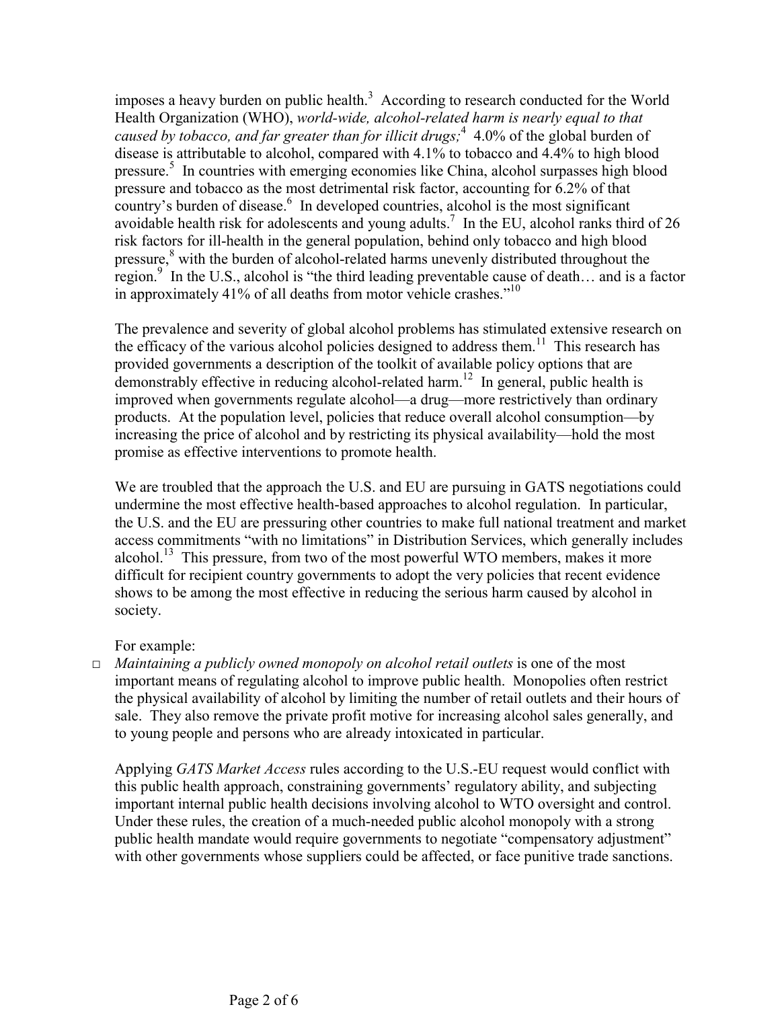imposes a heavy burden on public health.<sup>[3](#page-5-0)</sup> According to research conducted for the World Health Organization (WHO), *world-wide, alcohol-related harm is nearly equal to that*  caused by tobacco, and far greater than for illicit drugs;<sup>[4](#page-5-0)</sup> 4.0% of the global burden of disease is attributable to alcohol, compared with 4.1% to tobacco and 4.4% to high blood pressure.<sup>[5](#page-5-0)</sup> In countries with emerging economies like China, alcohol surpasses high blood pressure and tobacco as the most detrimental risk factor, accounting for 6.2% of that country's burden of disease. $6\,$  $6\,$  In developed countries, alcohol is the most significant avoidable health risk for adolescents and young adults.<sup>7</sup> In the EU, alcohol ranks third of 26 risk factors for ill-health in the general population, behind only tobacco and high blood pressure,<sup>[8](#page-5-0)</sup> with the burden of alcohol-related harms unevenly distributed throughout the region.<sup>[9](#page-5-0)</sup> In the U.S., alcohol is "the third leading preventable cause of death... and is a factor in approximately 41% of all deaths from motor vehicle crashes. $10$ <sup>10</sup>

The prevalence and severity of global alcohol problems has stimulated extensive research on the efficacy of the various alcohol policies designed to address them.<sup>11</sup> This research has provided governments a description of the toolkit of available policy options that are demonstrably effective in reducing alcohol-related harm.<sup>12</sup> In general, public health is improved when governments regulate alcohol—a drug—more restrictively than ordinary products. At the population level, policies that reduce overall alcohol consumption—by increasing the price of alcohol and by restricting its physical availability—hold the most promise as effective interventions to promote health.

We are troubled that the approach the U.S. and EU are pursuing in GATS negotiations could undermine the most effective health-based approaches to alcohol regulation. In particular, the U.S. and the EU are pressuring other countries to make full national treatment and market access commitments "with no limitations" in Distribution Services, which generally includes alcohol.<sup>13</sup> This pressure, from two of the most powerful WTO members, makes it more difficult for recipient country governments to adopt the very policies that recent evidence shows to be among the most effective in reducing the serious harm caused by alcohol in society.

For example:

□ *Maintaining a publicly owned monopoly on alcohol retail outlets* is one of the most important means of regulating alcohol to improve public health. Monopolies often restrict the physical availability of alcohol by limiting the number of retail outlets and their hours of sale. They also remove the private profit motive for increasing alcohol sales generally, and to young people and persons who are already intoxicated in particular.

Applying *GATS Market Access* rules according to the U.S.-EU request would conflict with this public health approach, constraining governments' regulatory ability, and subjecting important internal public health decisions involving alcohol to WTO oversight and control. Under these rules, the creation of a much-needed public alcohol monopoly with a strong public health mandate would require governments to negotiate "compensatory adjustment" with other governments whose suppliers could be affected, or face punitive trade sanctions.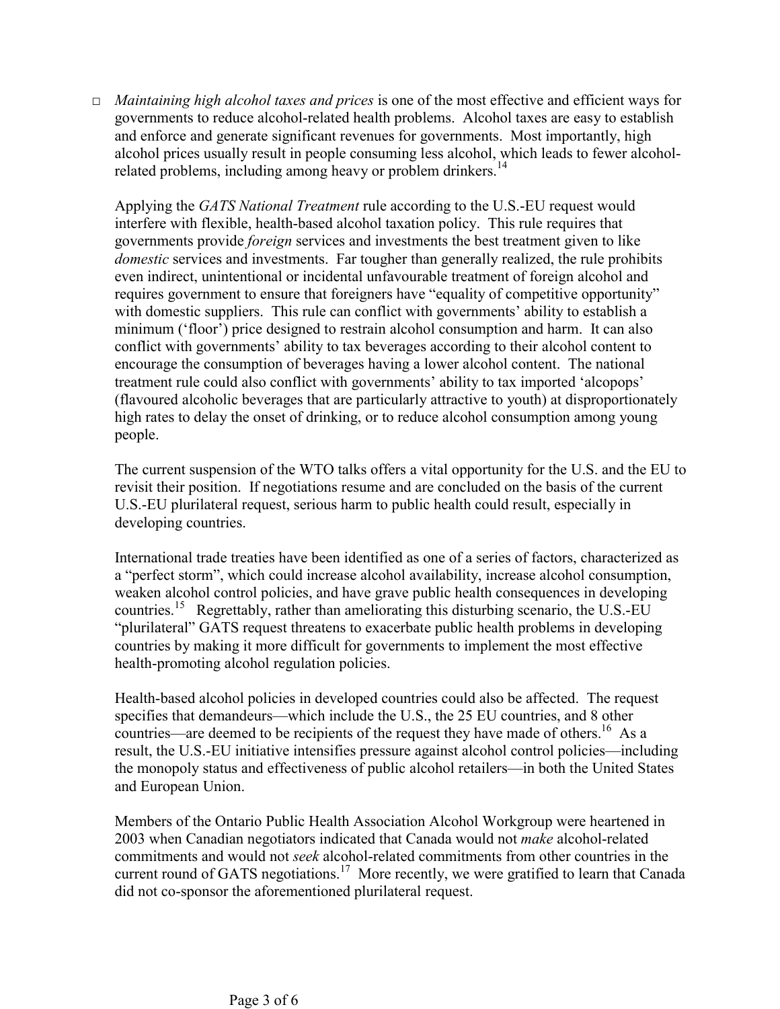□ *Maintaining high alcohol taxes and prices* is one of the most effective and efficient ways for governments to reduce alcohol-related health problems. Alcohol taxes are easy to establish and enforce and generate significant revenues for governments. Most importantly, high alcohol prices usually result in people consuming less alcohol, which leads to fewer alcohol-related problems, including among heavy or problem drinkers.<sup>[14](#page-5-0)</sup>

Applying the *GATS National Treatment* rule according to the U.S.-EU request would interfere with flexible, health-based alcohol taxation policy. This rule requires that governments provide *foreign* services and investments the best treatment given to like *domestic* services and investments. Far tougher than generally realized, the rule prohibits even indirect, unintentional or incidental unfavourable treatment of foreign alcohol and requires government to ensure that foreigners have "equality of competitive opportunity" with domestic suppliers. This rule can conflict with governments' ability to establish a minimum ('floor') price designed to restrain alcohol consumption and harm. It can also conflict with governments' ability to tax beverages according to their alcohol content to encourage the consumption of beverages having a lower alcohol content. The national treatment rule could also conflict with governments' ability to tax imported 'alcopops' (flavoured alcoholic beverages that are particularly attractive to youth) at disproportionately high rates to delay the onset of drinking, or to reduce alcohol consumption among young people.

The current suspension of the WTO talks offers a vital opportunity for the U.S. and the EU to revisit their position. If negotiations resume and are concluded on the basis of the current U.S.-EU plurilateral request, serious harm to public health could result, especially in developing countries.

International trade treaties have been identified as one of a series of factors, characterized as a "perfect storm", which could increase alcohol availability, increase alcohol consumption, weaken alcohol control policies, and have grave public health consequences in developing countries.<sup>15</sup> Regrettably, rather than ameliorating this disturbing scenario, the U.S.-EU "plurilateral" GATS request threatens to exacerbate public health problems in developing countries by making it more difficult for governments to implement the most effective health-promoting alcohol regulation policies.

Health-based alcohol policies in developed countries could also be affected. The request specifies that demandeurs—which include the U.S., the 25 EU countries, and 8 other countries—are deemed to be recipients of the request they have made of others.<sup>16</sup> As a result, the U.S.-EU initiative intensifies pressure against alcohol control policies—including the monopoly status and effectiveness of public alcohol retailers—in both the United States and European Union.

Members of the Ontario Public Health Association Alcohol Workgroup were heartened in 2003 when Canadian negotiators indicated that Canada would not *make* alcohol-related commitments and would not *seek* alcohol-related commitments from other countries in the current round of GATS negotiations.<sup>17</sup> More recently, we were gratified to learn that Canada did not co-sponsor the aforementioned plurilateral request.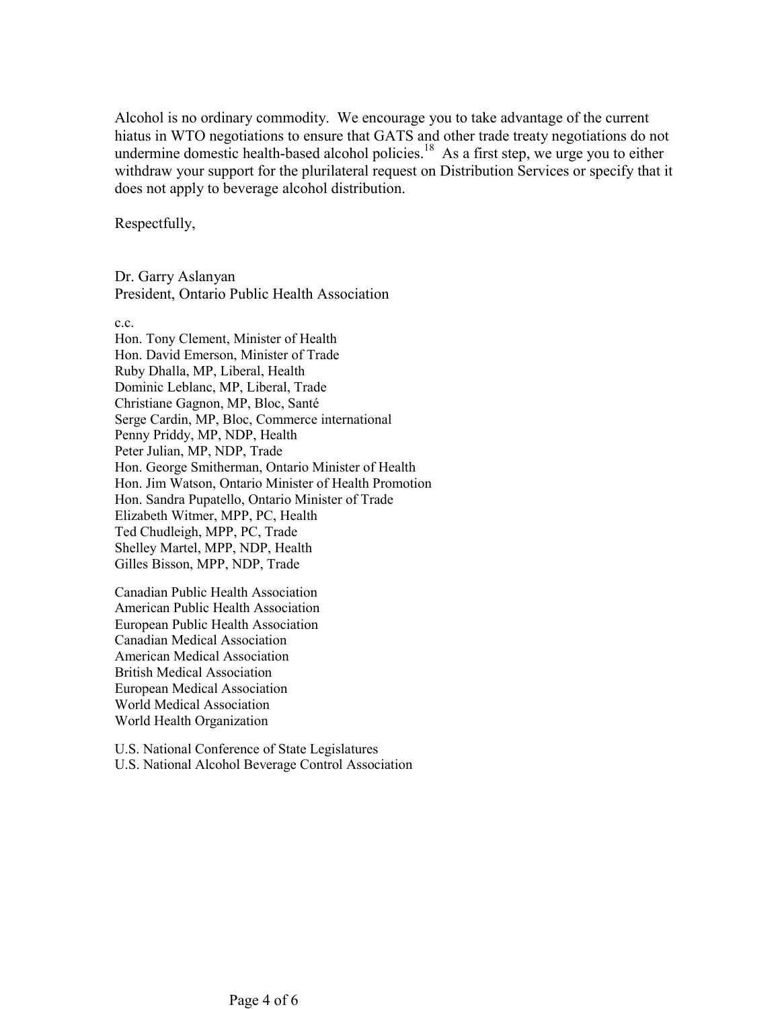Alcohol is no ordinary commodity. We encourage you to take advantage of the current hiatus in WTO negotiations to ensure that GATS and other trade treaty negotiations do not undermine domestic health-based alcohol policies.<sup>18</sup> As a first step, we urge you to either withdraw your support for the plurilateral request on Distribution Services or specify that it does not apply to beverage alcohol distribution.

Respectfully,

Dr. Garry Aslanyan President, Ontario Public Health Association

c.c.

Hon. Tony Clement, Minister of Health Hon. David Emerson, Minister of Trade Ruby Dhalla, MP, Liberal, Health Dominic Leblanc, MP, Liberal, Trade Christiane Gagnon, MP, Bloc, Santé Serge Cardin, MP, Bloc, Commerce international Penny Priddy, MP, NDP, Health Peter Julian, MP, NDP, Trade Hon. George Smitherman, Ontario Minister of Health Hon. Jim Watson, Ontario Minister of Health Promotion Hon. Sandra Pupatello, Ontario Minister of Trade Elizabeth Witmer, MPP, PC, Health Ted Chudleigh, MPP, PC, Trade Shelley Martel, MPP, NDP, Health Gilles Bisson, MPP, NDP, Trade

Canadian Public Health Association American Public Health Association European Public Health Association Canadian Medical Association American Medical Association British Medical Association European Medical Association World Medical Association World Health Organization

U.S. National Conference of State Legislatures U.S. National Alcohol Beverage Control Association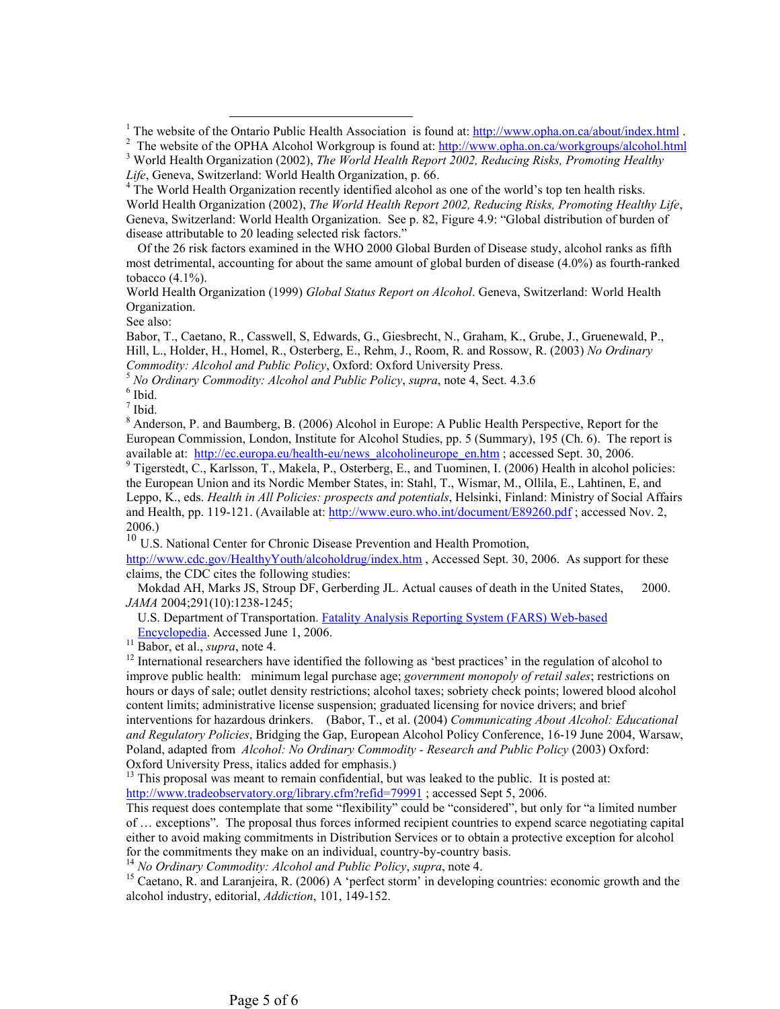$^{-1}$  The website of the  $^1$ The website of the Ontario Public Health Association is found at:  $\frac{http://www.opha.on.ca/about/index.html}{http://www.opha.on.ca/about/index.html}$ .

<sup>4</sup> The World Health Organization recently identified alcohol as one of the world's top ten health risks. World Health Organization (2002), *The World Health Report 2002, Reducing Risks, Promoting Healthy Life*, Geneva, Switzerland: World Health Organization. See p. 82, Figure 4.9: "Global distribution of burden of disease attributable to 20 leading selected risk factors."

 Of the 26 risk factors examined in the WHO 2000 Global Burden of Disease study, alcohol ranks as fifth most detrimental, accounting for about the same amount of global burden of disease (4.0%) as fourth-ranked tobacco (4.1%).

World Health Organization (1999) *Global Status Report on Alcohol*. Geneva, Switzerland: World Health Organization.

See also:

Babor, T., Caetano, R., Casswell, S, Edwards, G., Giesbrecht, N., Graham, K., Grube, J., Gruenewald, P., Hill, L., Holder, H., Homel, R., Osterberg, E., Rehm, J., Room, R. and Rossow, R. (2003) *No Ordinary* 

<sup>5</sup> No Ordinary Commodity: Alcohol and Public Policy, *supra*, note 4, Sect. 4.3.6

 $<sup>6</sup>$  Ibid.</sup>

 $<sup>7</sup>$  Ibid.</sup>

 $8$  Anderson, P. and Baumberg, B. (2006) Alcohol in Europe: A Public Health Perspective, Report for the European Commission, London, Institute for Alcohol Studies, pp. 5 (Summary), 195 (Ch. 6). The report is available at: http://ec.europa.eu/health-eu/news\_alcoholineurope\_en.htm ; accessed Sept. 30, 2006.

 $9$  Tigerstedt, C., Karlsson, T., Makela, P., Osterberg, E., and Tuominen, I. (2006) Health in alcohol policies: the European Union and its Nordic Member States, in: Stahl, T., Wismar, M., Ollila, E., Lahtinen, E, and Leppo, K., eds. *Health in All Policies: prospects and potentials*, Helsinki, Finland: Ministry of Social Affairs and Health, pp. 119-121. (Available at: http://www.euro.who.int/document/E89260.pdf ; accessed Nov. 2, 2006.)

<sup>10</sup> U.S. National Center for Chronic Disease Prevention and Health Promotion,

http://www.cdc.gov/HealthyYouth/alcoholdrug/index.htm , Accessed Sept. 30, 2006. As support for these claims, the CDC cites the following studies:

 Mokdad AH, Marks JS, Stroup DF, Gerberding JL. Actual causes of death in the United States, 2000. *JAMA* 2004;291(10):1238-1245;

U.S. Department of Transportation. Fatality Analysis Reporting System (FARS) Web-based Encyclopedia. Accessed June 1, 2006.

<sup>11</sup> Babor, et al., *supra*, note 4. <sup>12</sup> International researchers have identified the following as 'best practices' in the regulation of alcohol to improve public health: minimum legal purchase age; *government monopoly of retail sales*; restrictions on hours or days of sale; outlet density restrictions; alcohol taxes; sobriety check points; lowered blood alcohol content limits; administrative license suspension; graduated licensing for novice drivers; and brief interventions for hazardous drinkers. (Babor, T., et al. (2004) *Communicating About Alcohol: Educational and Regulatory Policies*, Bridging the Gap, European Alcohol Policy Conference, 16-19 June 2004, Warsaw, Poland, adapted from *Alcohol: No Ordinary Commodity - Research and Public Policy* (2003) Oxford: Oxford University Press, italics added for emphasis.)

<sup>13</sup> This proposal was meant to remain confidential, but was leaked to the public. It is posted at: http://www.tradeobservatory.org/library.cfm?refid=79991 ; accessed Sept 5, 2006.

This request does contemplate that some "flexibility" could be "considered", but only for "a limited number of … exceptions". The proposal thus forces informed recipient countries to expend scarce negotiating capital either to avoid making commitments in Distribution Services or to obtain a protective exception for alcohol for the commitments they make on an individual, country-by-country basis.<br><sup>14</sup> No Ordinary Commodity: Alcohol and Public Policy, supra, note 4.

<sup>15</sup> Caetano, R. and Laranjeira, R. (2006) A 'perfect storm' in developing countries: economic growth and the alcohol industry, editorial, *Addiction*, 101, 149-152.

<sup>&</sup>lt;sup>2</sup> The website of the OPHA Alcohol Workgroup is found at: http://www.opha.on.ca/workgroups/alcohol.html World Health Organization (2002), *The World Health Report 2002, Reducing Risks, Promoting Healthy* 

*Life*, Geneva, Switzerland: World Health Organization, p. 66. 4